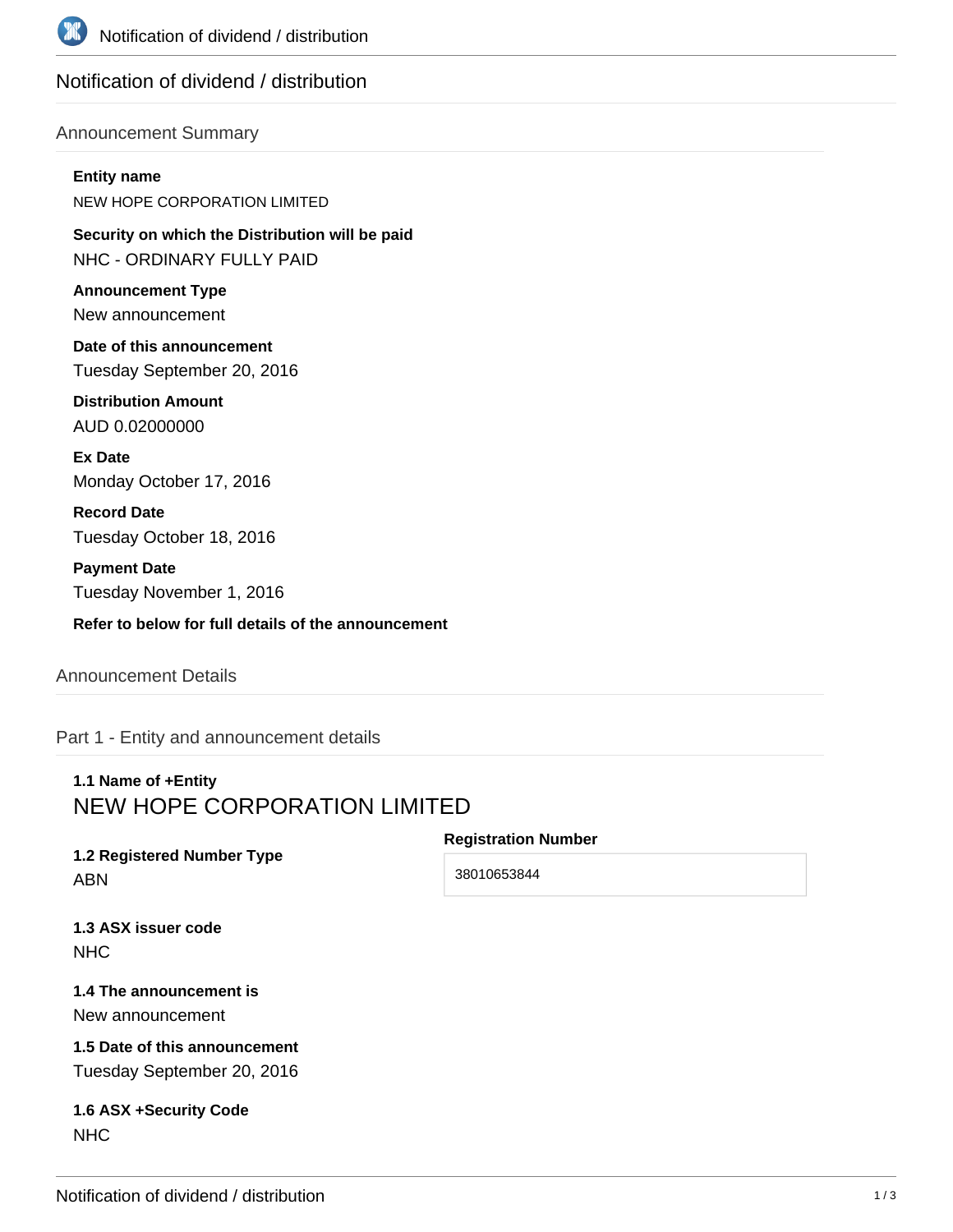

# Notification of dividend / distribution

### Announcement Summary

#### **Entity name**

NEW HOPE CORPORATION LIMITED

**Security on which the Distribution will be paid** NHC - ORDINARY FULLY PAID

**Announcement Type** New announcement

**Date of this announcement** Tuesday September 20, 2016

**Distribution Amount** AUD 0.02000000

**Ex Date** Monday October 17, 2016

**Record Date** Tuesday October 18, 2016

**Payment Date** Tuesday November 1, 2016

**Refer to below for full details of the announcement**

### Announcement Details

Part 1 - Entity and announcement details

# **1.1 Name of +Entity** NEW HOPE CORPORATION LIMITED

**1.2 Registered Number Type** ABN

**Registration Number**

38010653844

**1.3 ASX issuer code NHC** 

**1.4 The announcement is** New announcement

**1.5 Date of this announcement** Tuesday September 20, 2016

**1.6 ASX +Security Code** NHC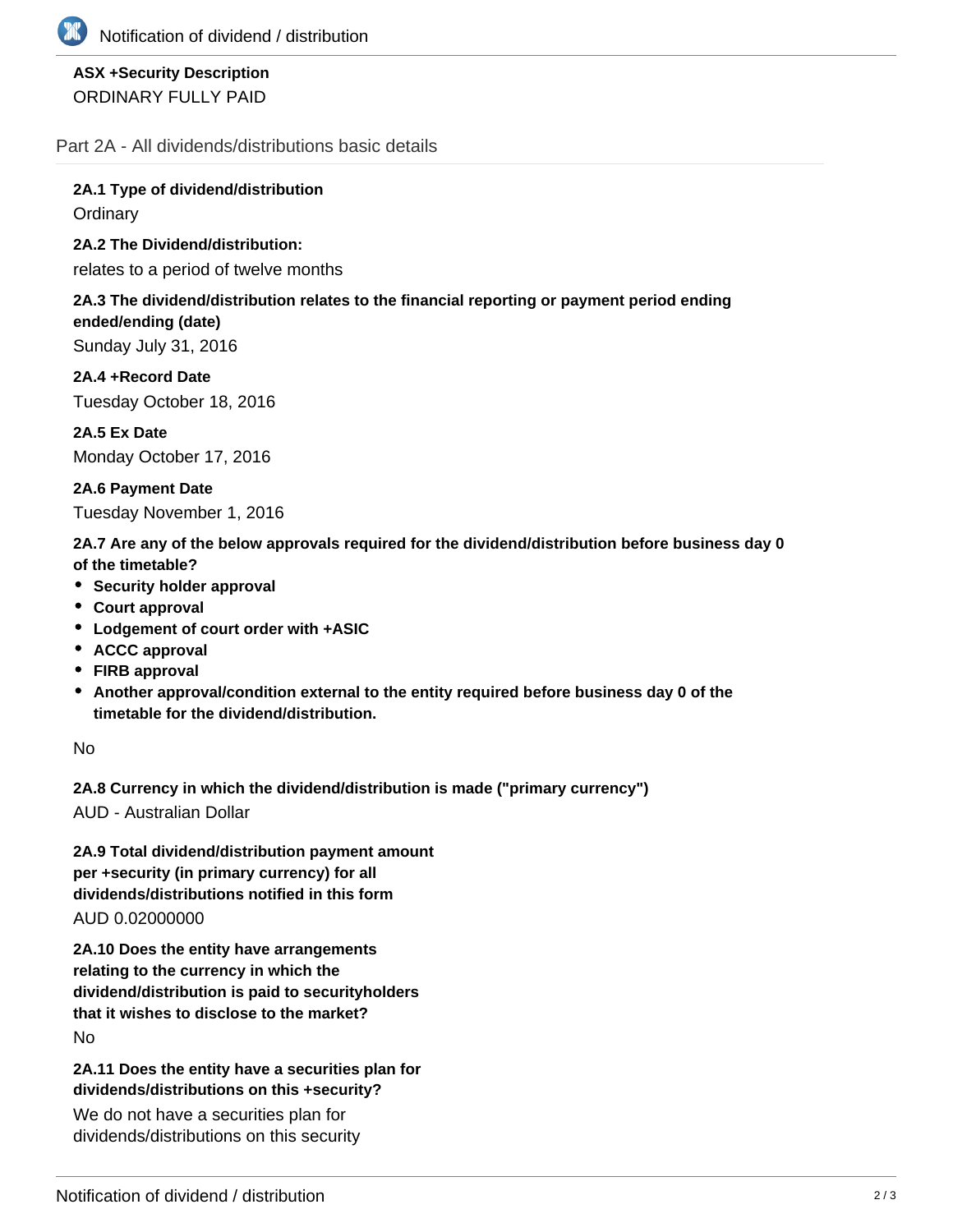

## **ASX +Security Description** ORDINARY FULLY PAID

Part 2A - All dividends/distributions basic details

**2A.1 Type of dividend/distribution Ordinary** 

**2A.2 The Dividend/distribution:**

relates to a period of twelve months

#### **2A.3 The dividend/distribution relates to the financial reporting or payment period ending ended/ending (date)**

Sunday July 31, 2016

**2A.4 +Record Date** Tuesday October 18, 2016

**2A.5 Ex Date** Monday October 17, 2016

**2A.6 Payment Date** Tuesday November 1, 2016

**2A.7 Are any of the below approvals required for the dividend/distribution before business day 0 of the timetable?**

- **Security holder approval**
- **Court approval**
- **Lodgement of court order with +ASIC**
- **ACCC approval**
- **FIRB approval**
- **Another approval/condition external to the entity required before business day 0 of the timetable for the dividend/distribution.**

No

**2A.8 Currency in which the dividend/distribution is made ("primary currency")**

AUD - Australian Dollar

**2A.9 Total dividend/distribution payment amount per +security (in primary currency) for all dividends/distributions notified in this form** AUD 0.02000000

**2A.10 Does the entity have arrangements relating to the currency in which the dividend/distribution is paid to securityholders that it wishes to disclose to the market?** No

**2A.11 Does the entity have a securities plan for dividends/distributions on this +security?**

We do not have a securities plan for dividends/distributions on this security